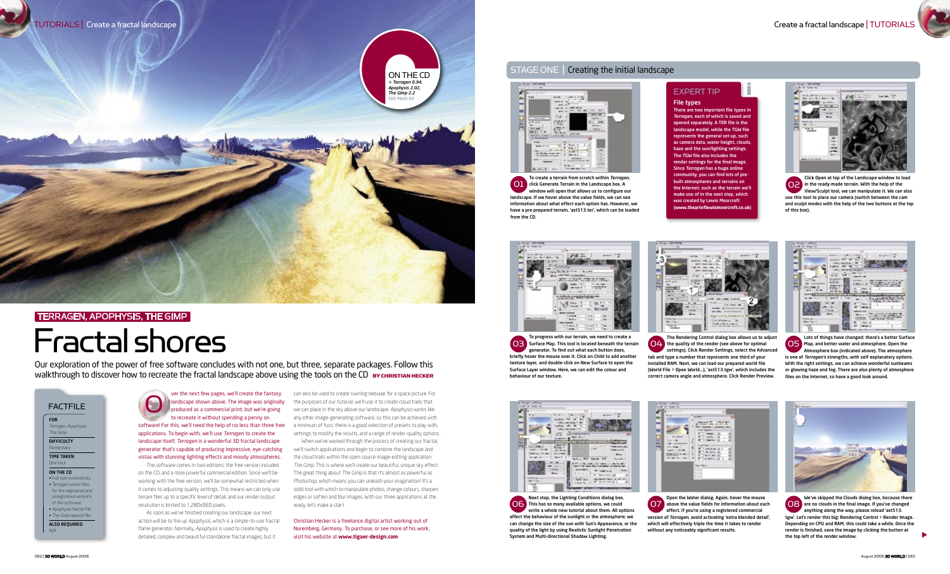ver the next few pages, we'll create the fantasy

The software comes in two editions: the free version included on the CD, and a more powerful commercial edition. Since we'll be working with the free version, we'll be somewhat restricted when it comes to adjusting quality settings. This means we can only use terrain files up to a specific level of detail, and our render output resolution is limited to 1,280x960 pixels.

As soon as we've finished creating our landscape*,* our next action will be to fire up *Apophysis,* which is a simple-to-use fractal flame generator. Normally, *Apophysis* is used to create highly detailed, complex and beautiful standalone fractal images, but it

landscape shown above. The image was originally produced as a commercial print, but we're going to recreate it without spending a penny on software! For this, we'll need the help of no less than three free applications. To begin with, we'll use *Terragen* to create the landscape itself. *Terragen* is a wonderful 3D fractal landscape generator that's capable of producing impressive, eye-catching vistas with stunning lighting effects and moody atmospheres. O

#### One hour ON THE CD

can also be used to create swirling nebulae for a space picture. For the purposes of our tutorial, we'll use it to create cloud trails that we can place in the sky above our landscape. *Apophysis* works like any other image-generating software, so this can be achieved with a minimum of fuss: there is a good selection of presets to play with, settings to modify the results, and a range of render-quality options.

To create a terrain from scratch within *Terragen,* click Generate Terrain in the Landscape box. A window will open that allows us to configure our landscape. If we hover above the value fields, we can see information about what effect each option has. However, we have a pre-prepared terrain, 'ast513.ter', which can be loaded from the CD.  $[0]$ 



Click Open at top of the Landscape window to load in the ready-made terrain. With the help of the View/Sculpt tool, we can manipulate it. We can also use this tool to place our camera (switch between the cam and sculpt modes with the help of the two buttons at the top of this box).  $\overline{SO}$ 



Open the Water dialog. Again, hover the mouse above the value fields for information about each effect. If you're using a registered commercial version of *Terragen,* avoid activating 'extra blended detail', which will effectively triple the time it takes to render without any noticeably significant results.  $\overline{O}$ 



When we've worked through the process of creating our fractal, we'll switch applications and begin to combine the landscape and the cloud trails within the open source image-editing application *The Gimp*. This is where we'll create our beautiful, unique sky effect. The great thing about *The Gimp* is that it's almost as powerful as *Photoshop,* which means you can unleash your imagination! It's a solid tool with which to manipulate photos, change colours, sharpen edges or soften and blur images. With our three applications at the ready, let's make a start.

Our exploration of the power of free software concludes with not one, but three, separate packages. Follow this walkthrough to discover how to recreate the fractal landscape above using the tools on the CD BY CHRISTIAN HECKER

> Christian Hecker is a freelance digital artist working out of Nuremberg, Germany. To purchase, or see more of his work, visit his website at **www.tigaer-design.com**

#### FACTFILE

FOR *Terragen, Apophysis The Gimp* **DIFFICULTY** Elementary TIME TAKEN

• Full-size screenshots • *Terragen* scene files for the registered and unregistered versions of the software • *Apophysis* fractal file • *The Gimp* layered file

ALSO REQUIRED N/A

#### STAGE ONE | Creating the initial landscape





▲

## Fractal shores

## TERRAGEN, APOPHYSIS, THE GIMP



We've skipped the Clouds dialog box, because there O8 are no clouds in the final image. If you've changed anything along the way, please reload 'ast513. tgw'. Let's render this big: Rendering Control > Render Image. Depending on CPU and RAM, this could take a while. Once the render is finished, save the image by clicking the button at the top left of the render window.

To progress with our terrain, we need to create a Surface Map. This tool is located beneath the terrain generator. To find out what each button does, briefly hover the mouse over it. Click on Child to add another texture layer, and double-click on New Surface to open the Surface Layer window. Here, we can edit the colour and behaviour of our texture. 03



#### EXPERT TIP

#### File types

There are two important file types in *Terragen*, each of which is saved and opened separately. A TER file is the landscape model, while the TGW file represents the general set-up, such as camera data, water height, clouds, haze and the sun/lighting settings. The TGW file also includes the render settings for the final image. Since *Terragen* has a huge online community, you can find lots of prebuilt atmospheres and terrains on the Internet, such as the terrain we'll make use of in the next step, which was created by Lewis Moorcroft (**www.theartoflewismoorcroft.co.uk**)

i



The Rendering Control dialog box allows us to adjust O4. the quality of the render (see above for optimal settings). Click Render Settings, select the Advanced tab and type a number that represents one third of your installed RAM. Next, we can load our prepared world file (World File > Open World...), 'ast513.tgw', which includes the correct camera angle and atmosphere. Click Render Preview.



Lots of things have changed: there's a better Surface Map, and better water and atmosphere. Open the Atmosphere box (indicated above). The atmosphere is one of *Terragen's* strengths, with self-explanatory options. With the right settings, we can achieve wonderful sunbeams or glowing haze and fog. There are also plenty of atmosphere files on the Internet, so have a good look around. 05



Next stop, the Lighting Conditions dialog box. This has so many available options, we could write a whole new tutorial about them. All options affect the behaviour of the sunlight or the atmosphere; we can change the size of the sun with Sun's Appearance, or the quality of the light by using Realistic Sunlight Penetration System and Multi-directional Shadow Lighting. 06